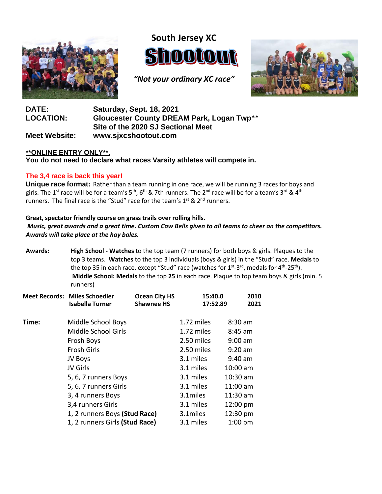

**South Jersey XC** DOUOUN

*"Not your ordinary XC race"*



## **DATE: Saturday, Sept. 18, 2021 LOCATION: Gloucester County DREAM Park, Logan Twp**\*\* **Site of the 2020 SJ Sectional Meet Meet Website: [www.sjxcshootout.com](http://www.sjxcshootout.com/)**

### **\*\*ONLINE ENTRY ONLY\*\*.**

**You do not need to declare what races Varsity athletes will compete in.**

### **The 3,4 race is back this year!**

**Unique race format:** Rather than a team running in one race, we will be running 3 races for boys and girls. The 1<sup>st</sup> race will be for a team's 5<sup>th</sup>, 6<sup>th</sup> & 7th runners. The 2<sup>nd</sup> race will be for a team's 3<sup>rd</sup> & 4<sup>th</sup> runners. The final race is the "Stud" race for the team's 1<sup>st</sup> & 2<sup>nd</sup> runners.

#### **Great, spectator friendly course on grass trails over rolling hills.**

*Music, great awards and a great time. Custom Cow Bells given to all teams to cheer on the competitors. Awards will take place at the hay bales.*

**Awards: High School ‐ Watches** to the top team (7 runners) for both boys & girls. Plaques to the top 3 teams. **Watches** to the top 3 individuals (boys & girls) in the "Stud" race. **Medals** to the top 35 in each race, except "Stud" race (watches for 1<sup>st</sup>-3<sup>rd</sup>, medals for 4<sup>th</sup>-25<sup>th</sup>). **Middle School: Medals** to the top **25** in each race. Plaque to top team boys & girls (min. 5 runners)

|       | <b>Meet Records: Miles Schoedler</b><br><b>Isabella Turner</b> | <b>Ocean City HS</b><br><b>Shawnee HS</b> | 15:40.0<br>17:52.89 | 2010<br>2021 |
|-------|----------------------------------------------------------------|-------------------------------------------|---------------------|--------------|
| Time: | Middle School Boys                                             |                                           | 1.72 miles          | $8:30$ am    |
|       | Middle School Girls                                            |                                           | 1.72 miles          | $8:45$ am    |
|       | Frosh Boys                                                     |                                           | 2.50 miles          | $9:00$ am    |
|       | <b>Frosh Girls</b>                                             |                                           | 2.50 miles          | $9:20$ am    |
|       | JV Boys                                                        |                                           | 3.1 miles           | $9:40$ am    |
|       | JV Girls                                                       |                                           | 3.1 miles           | $10:00$ am   |
|       | 5, 6, 7 runners Boys                                           |                                           | 3.1 miles           | 10:30 am     |
|       | 5, 6, 7 runners Girls                                          |                                           | 3.1 miles           | 11:00 am     |
|       | 3, 4 runners Boys                                              |                                           | 3.1miles            | 11:30 am     |
|       | 3,4 runners Girls                                              |                                           | 3.1 miles           | 12:00 pm     |
|       | 1, 2 runners Boys (Stud Race)                                  |                                           | 3.1miles            | 12:30 pm     |
|       | 1, 2 runners Girls (Stud Race)                                 |                                           | 3.1 miles           | $1:00$ pm    |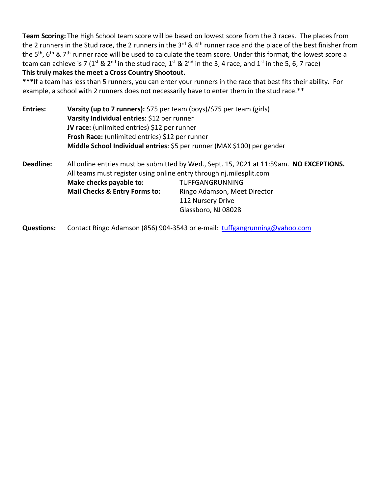**Team Scoring:** The High School team score will be based on lowest score from the 3 races. The places from the 2 runners in the Stud race, the 2 runners in the 3<sup>rd</sup> & 4<sup>th</sup> runner race and the place of the best finisher from the 5<sup>th</sup>, 6<sup>th</sup> & 7<sup>th</sup> runner race will be used to calculate the team score. Under this format, the lowest score a team can achieve is 7 (1<sup>st</sup> & 2<sup>nd</sup> in the stud race, 1<sup>st</sup> & 2<sup>nd</sup> in the 3, 4 race, and 1<sup>st</sup> in the 5, 6, 7 race) **This truly makes the meet a Cross Country Shootout.**

**\*\*\***If a team has less than 5 runners, you can enter your runners in the race that best fits their ability. For example, a school with 2 runners does not necessarily have to enter them in the stud race.\*\*

| <b>Entries:</b> | Varsity (up to 7 runners): \$75 per team (boys)/\$75 per team (girls)                    |  |  |  |  |  |  |
|-----------------|------------------------------------------------------------------------------------------|--|--|--|--|--|--|
|                 | Varsity Individual entries: \$12 per runner                                              |  |  |  |  |  |  |
|                 | JV race: (unlimited entries) \$12 per runner                                             |  |  |  |  |  |  |
|                 | Frosh Race: (unlimited entries) \$12 per runner                                          |  |  |  |  |  |  |
|                 | Middle School Individual entries: \$5 per runner (MAX \$100) per gender                  |  |  |  |  |  |  |
| Deadline:       | All online entries must be submitted by Wed Sent 15, 2021 at 11:59am <b>NO EXCEDTION</b> |  |  |  |  |  |  |

**Deadline:** All online entries must be submitted by Wed., Sept. 15, 2021 at 11:59am. **NO EXCEPTIONS.** All teams must register using online entry through nj.milesplit.com **Make checks payable to:** TUFFGANGRUNNING **Mail Checks & Entry Forms to:** Ringo Adamson, Meet Director 112 Nursery Drive Glassboro, NJ 08028

Questions: Contact Ringo Adamson (856) 904-3543 or e-mail: [tuffgangrunning@yahoo.com](mailto:tuffgangrunning@yahoo.com)